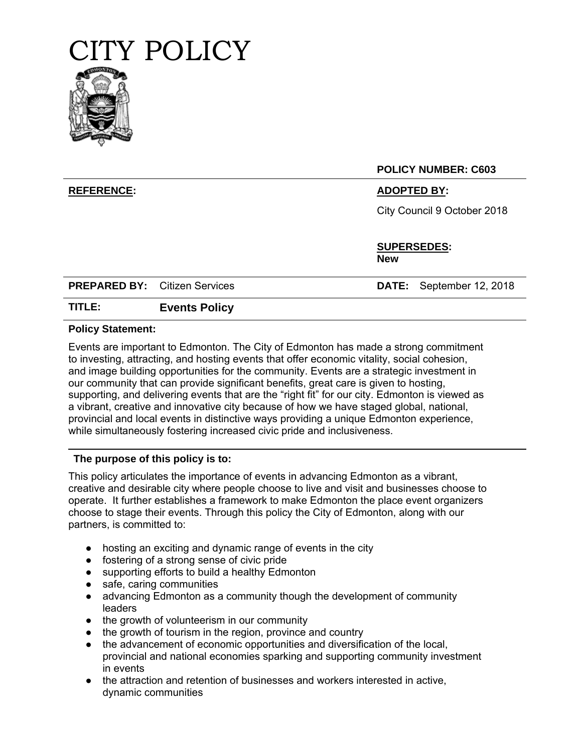



**POLICY NUMBER: C603**

## **REFERENCE: ADOPTED BY:**

City Council 9 October 2018

**SUPERSEDES: New**

**PREPARED BY:** Citizen Services **DATE:** September 12, 2018

# **TITLE: Events Policy**

#### **Policy Statement:**

Events are important to Edmonton. The City of Edmonton has made a strong commitment to investing, attracting, and hosting events that offer economic vitality, social cohesion, and image building opportunities for the community. Events are a strategic investment in our community that can provide significant benefits, great care is given to hosting, supporting, and delivering events that are the "right fit" for our city. Edmonton is viewed as a vibrant, creative and innovative city because of how we have staged global, national, provincial and local events in distinctive ways providing a unique Edmonton experience, while simultaneously fostering increased civic pride and inclusiveness.

### **The purpose of this policy is to:**

This policy articulates the importance of events in advancing Edmonton as a vibrant, creative and desirable city where people choose to live and visit and businesses choose to operate. It further establishes a framework to make Edmonton the place event organizers choose to stage their events. Through this policy the City of Edmonton, along with our partners, is committed to:

- hosting an exciting and dynamic range of events in the city
- fostering of a strong sense of civic pride
- supporting efforts to build a healthy Edmonton
- safe, caring communities
- advancing Edmonton as a community though the development of community leaders
- the growth of volunteerism in our community
- the growth of tourism in the region, province and country
- the advancement of economic opportunities and diversification of the local, provincial and national economies sparking and supporting community investment in events
- the attraction and retention of businesses and workers interested in active, dynamic communities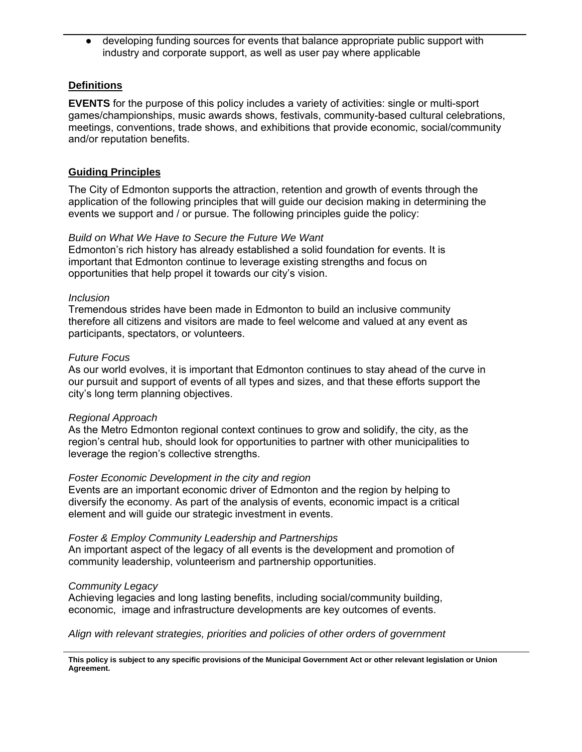developing funding sources for events that balance appropriate public support with industry and corporate support, as well as user pay where applicable

## **Definitions**

**EVENTS** for the purpose of this policy includes a variety of activities: single or multi-sport games/championships, music awards shows, festivals, community-based cultural celebrations, meetings, conventions, trade shows, and exhibitions that provide economic, social/community and/or reputation benefits.

## **Guiding Principles**

The City of Edmonton supports the attraction, retention and growth of events through the application of the following principles that will guide our decision making in determining the events we support and / or pursue. The following principles guide the policy:

### *Build on What We Have to Secure the Future We Want*

Edmonton's rich history has already established a solid foundation for events. It is important that Edmonton continue to leverage existing strengths and focus on opportunities that help propel it towards our city's vision.

### *Inclusion*

Tremendous strides have been made in Edmonton to build an inclusive community therefore all citizens and visitors are made to feel welcome and valued at any event as participants, spectators, or volunteers.

#### *Future Focus*

As our world evolves, it is important that Edmonton continues to stay ahead of the curve in our pursuit and support of events of all types and sizes, and that these efforts support the city's long term planning objectives.

#### *Regional Approach*

As the Metro Edmonton regional context continues to grow and solidify, the city, as the region's central hub, should look for opportunities to partner with other municipalities to leverage the region's collective strengths.

### *Foster Economic Development in the city and region*

Events are an important economic driver of Edmonton and the region by helping to diversify the economy. As part of the analysis of events, economic impact is a critical element and will guide our strategic investment in events.

#### *Foster & Employ Community Leadership and Partnerships*

An important aspect of the legacy of all events is the development and promotion of community leadership, volunteerism and partnership opportunities.

#### *Community Legacy*

Achieving legacies and long lasting benefits, including social/community building, economic, image and infrastructure developments are key outcomes of events.

*Align with relevant strategies, priorities and policies of other orders of government* 

**This policy is subject to any specific provisions of the Municipal Government Act or other relevant legislation or Union Agreement.**